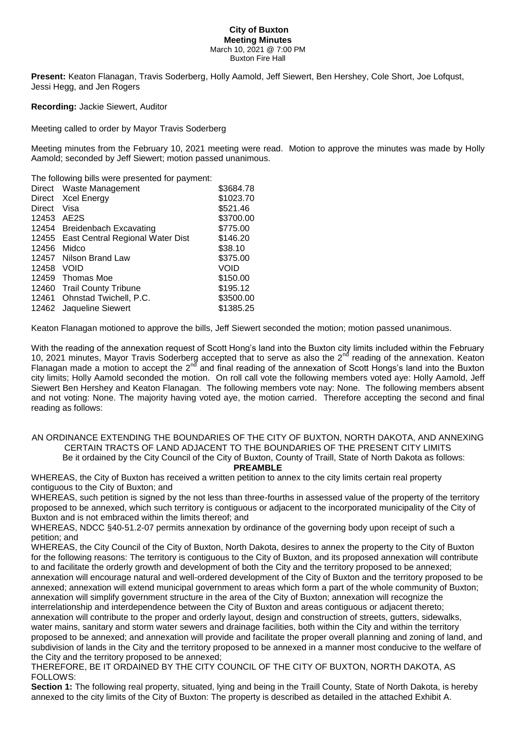#### **City of Buxton Meeting Minutes** March 10, 2021 @ 7:00 PM Buxton Fire Hall

**Present:** Keaton Flanagan, Travis Soderberg, Holly Aamold, Jeff Siewert, Ben Hershey, Cole Short, Joe Lofqust, Jessi Hegg, and Jen Rogers

**Recording:** Jackie Siewert, Auditor

Meeting called to order by Mayor Travis Soderberg

Meeting minutes from the February 10, 2021 meeting were read. Motion to approve the minutes was made by Holly Aamold: seconded by Jeff Siewert: motion passed unanimous.

The following bills were presented for payment:

|        | Direct Waste Management                | \$3684.78 |
|--------|----------------------------------------|-----------|
| Direct | <b>Xcel Energy</b>                     | \$1023.70 |
| Direct | Visa                                   | \$521.46  |
| 12453  | AE2S                                   | \$3700.00 |
|        | 12454 Breidenbach Excavating           | \$775.00  |
|        | 12455 East Central Regional Water Dist | \$146.20  |
| 12456  | Midco                                  | \$38.10   |
| 12457  | Nilson Brand Law                       | \$375.00  |
| 12458  | <b>VOID</b>                            | VOID      |
| 12459  | Thomas Moe                             | \$150.00  |
|        | 12460 Trail County Tribune             | \$195.12  |
| 12461  | Ohnstad Twichell, P.C.                 | \$3500.00 |
|        | 12462 Jaqueline Siewert                | \$1385.25 |

Keaton Flanagan motioned to approve the bills, Jeff Siewert seconded the motion; motion passed unanimous.

With the reading of the annexation request of Scott Hong's land into the Buxton city limits included within the February 10, 2021 minutes, Mayor Travis Soderberg accepted that to serve as also the 2<sup>nd</sup> reading of the annexation. Keaton Flanagan made a motion to accept the 2nd and final reading of the annexation of Scott Hongs's land into the Buxton city limits; Holly Aamold seconded the motion. On roll call vote the following members voted aye: Holly Aamold, Jeff Siewert Ben Hershey and Keaton Flanagan. The following members vote nay: None. The following members absent and not voting: None. The majority having voted aye, the motion carried. Therefore accepting the second and final reading as follows:

#### AN ORDINANCE EXTENDING THE BOUNDARIES OF THE CITY OF BUXTON, NORTH DAKOTA, AND ANNEXING CERTAIN TRACTS OF LAND ADJACENT TO THE BOUNDARIES OF THE PRESENT CITY LIMITS Be it ordained by the City Council of the City of Buxton, County of Traill, State of North Dakota as follows: **PREAMBLE**

WHEREAS, the City of Buxton has received a written petition to annex to the city limits certain real property contiguous to the City of Buxton; and

WHEREAS, such petition is signed by the not less than three-fourths in assessed value of the property of the territory proposed to be annexed, which such territory is contiguous or adjacent to the incorporated municipality of the City of Buxton and is not embraced within the limits thereof; and

WHEREAS, NDCC §40-51.2-07 permits annexation by ordinance of the governing body upon receipt of such a petition; and

WHEREAS, the City Council of the City of Buxton, North Dakota, desires to annex the property to the City of Buxton for the following reasons: The territory is contiguous to the City of Buxton, and its proposed annexation will contribute to and facilitate the orderly growth and development of both the City and the territory proposed to be annexed; annexation will encourage natural and well-ordered development of the City of Buxton and the territory proposed to be annexed; annexation will extend municipal government to areas which form a part of the whole community of Buxton; annexation will simplify government structure in the area of the City of Buxton; annexation will recognize the interrelationship and interdependence between the City of Buxton and areas contiguous or adjacent thereto; annexation will contribute to the proper and orderly layout, design and construction of streets, gutters, sidewalks, water mains, sanitary and storm water sewers and drainage facilities, both within the City and within the territory proposed to be annexed; and annexation will provide and facilitate the proper overall planning and zoning of land, and subdivision of lands in the City and the territory proposed to be annexed in a manner most conducive to the welfare of the City and the territory proposed to be annexed;

THEREFORE, BE IT ORDAINED BY THE CITY COUNCIL OF THE CITY OF BUXTON, NORTH DAKOTA, AS FOLLOWS:

**Section 1:** The following real property, situated, lying and being in the Traill County, State of North Dakota, is hereby annexed to the city limits of the City of Buxton: The property is described as detailed in the attached Exhibit A.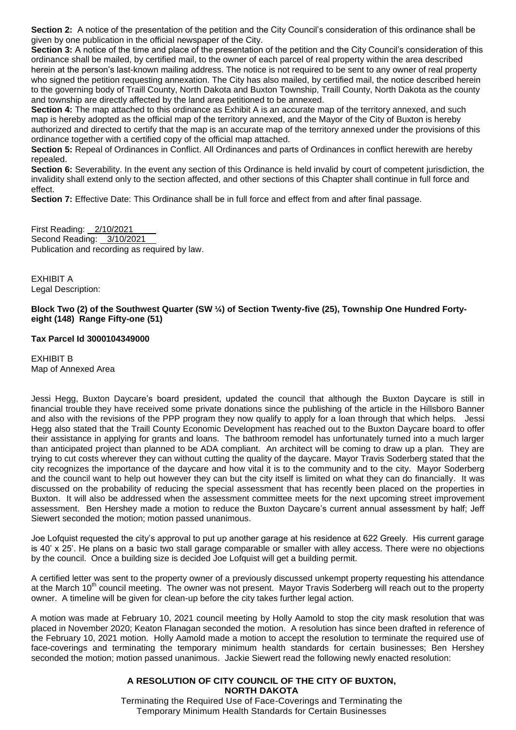**Section 2:** A notice of the presentation of the petition and the City Council's consideration of this ordinance shall be given by one publication in the official newspaper of the City.

**Section 3:** A notice of the time and place of the presentation of the petition and the City Council's consideration of this ordinance shall be mailed, by certified mail, to the owner of each parcel of real property within the area described herein at the person's last-known mailing address. The notice is not required to be sent to any owner of real property who signed the petition requesting annexation. The City has also mailed, by certified mail, the notice described herein to the governing body of Traill County, North Dakota and Buxton Township, Traill County, North Dakota as the county and township are directly affected by the land area petitioned to be annexed.

**Section 4:** The map attached to this ordinance as Exhibit A is an accurate map of the territory annexed, and such map is hereby adopted as the official map of the territory annexed, and the Mayor of the City of Buxton is hereby authorized and directed to certify that the map is an accurate map of the territory annexed under the provisions of this ordinance together with a certified copy of the official map attached.

**Section 5:** Repeal of Ordinances in Conflict. All Ordinances and parts of Ordinances in conflict herewith are hereby repealed.

**Section 6:** Severability. In the event any section of this Ordinance is held invalid by court of competent jurisdiction, the invalidity shall extend only to the section affected, and other sections of this Chapter shall continue in full force and effect.

**Section 7:** Effective Date: This Ordinance shall be in full force and effect from and after final passage.

First Reading: 2/10/2021 Second Reading: 3/10/2021 Publication and recording as required by law.

EXHIBIT A Legal Description:

## **Block Two (2) of the Southwest Quarter (SW ¼) of Section Twenty-five (25), Township One Hundred Fortyeight (148) Range Fifty-one (51)**

## **Tax Parcel Id 3000104349000**

EXHIBIT B Map of Annexed Area

Jessi Hegg, Buxton Daycare's board president, updated the council that although the Buxton Daycare is still in financial trouble they have received some private donations since the publishing of the article in the Hillsboro Banner and also with the revisions of the PPP program they now qualify to apply for a loan through that which helps. Jessi Hegg also stated that the Traill County Economic Development has reached out to the Buxton Daycare board to offer their assistance in applying for grants and loans. The bathroom remodel has unfortunately turned into a much larger than anticipated project than planned to be ADA compliant. An architect will be coming to draw up a plan. They are trying to cut costs wherever they can without cutting the quality of the daycare. Mayor Travis Soderberg stated that the city recognizes the importance of the daycare and how vital it is to the community and to the city. Mayor Soderberg and the council want to help out however they can but the city itself is limited on what they can do financially. It was discussed on the probability of reducing the special assessment that has recently been placed on the properties in Buxton. It will also be addressed when the assessment committee meets for the next upcoming street improvement assessment. Ben Hershey made a motion to reduce the Buxton Daycare's current annual assessment by half; Jeff Siewert seconded the motion; motion passed unanimous.

Joe Lofquist requested the city's approval to put up another garage at his residence at 622 Greely. His current garage is 40' x 25'. He plans on a basic two stall garage comparable or smaller with alley access. There were no objections by the council. Once a building size is decided Joe Lofquist will get a building permit.

A certified letter was sent to the property owner of a previously discussed unkempt property requesting his attendance at the March 10<sup>th</sup> council meeting. The owner was not present. Mayor Travis Soderberg will reach out to the property owner. A timeline will be given for clean-up before the city takes further legal action.

A motion was made at February 10, 2021 council meeting by Holly Aamold to stop the city mask resolution that was placed in November 2020; Keaton Flanagan seconded the motion. A resolution has since been drafted in reference of the February 10, 2021 motion. Holly Aamold made a motion to accept the resolution to terminate the required use of face-coverings and terminating the temporary minimum health standards for certain businesses; Ben Hershey seconded the motion; motion passed unanimous. Jackie Siewert read the following newly enacted resolution:

# **A RESOLUTION OF CITY COUNCIL OF THE CITY OF BUXTON, NORTH DAKOTA**

Terminating the Required Use of Face-Coverings and Terminating the Temporary Minimum Health Standards for Certain Businesses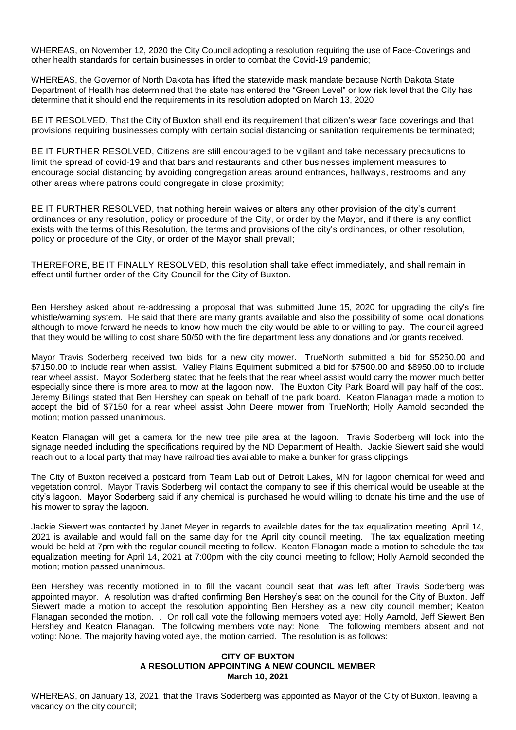WHEREAS, on November 12, 2020 the City Council adopting a resolution requiring the use of Face-Coverings and other health standards for certain businesses in order to combat the Covid-19 pandemic;

WHEREAS, the Governor of North Dakota has lifted the statewide mask mandate because North Dakota State Department of Health has determined that the state has entered the "Green Level" or low risk level that the City has determine that it should end the requirements in its resolution adopted on March 13, 2020

BE IT RESOLVED, That the City of Buxton shall end its requirement that citizen's wear face coverings and that provisions requiring businesses comply with certain social distancing or sanitation requirements be terminated;

BE IT FURTHER RESOLVED, Citizens are still encouraged to be vigilant and take necessary precautions to limit the spread of covid-19 and that bars and restaurants and other businesses implement measures to encourage social distancing by avoiding congregation areas around entrances, hallways, restrooms and any other areas where patrons could congregate in close proximity;

BE IT FURTHER RESOLVED, that nothing herein waives or alters any other provision of the city's current ordinances or any resolution, policy or procedure of the City, or order by the Mayor, and if there is any conflict exists with the terms of this Resolution, the terms and provisions of the city's ordinances, or other resolution, policy or procedure of the City, or order of the Mayor shall prevail;

THEREFORE, BE IT FINALLY RESOLVED, this resolution shall take effect immediately, and shall remain in effect until further order of the City Council for the City of Buxton.

Ben Hershey asked about re-addressing a proposal that was submitted June 15, 2020 for upgrading the city's fire whistle/warning system. He said that there are many grants available and also the possibility of some local donations although to move forward he needs to know how much the city would be able to or willing to pay. The council agreed that they would be willing to cost share 50/50 with the fire department less any donations and /or grants received.

Mayor Travis Soderberg received two bids for a new city mower. TrueNorth submitted a bid for \$5250.00 and \$7150.00 to include rear when assist. Valley Plains Equiment submitted a bid for \$7500.00 and \$8950.00 to include rear wheel assist. Mayor Soderberg stated that he feels that the rear wheel assist would carry the mower much better especially since there is more area to mow at the lagoon now. The Buxton City Park Board will pay half of the cost. Jeremy Billings stated that Ben Hershey can speak on behalf of the park board. Keaton Flanagan made a motion to accept the bid of \$7150 for a rear wheel assist John Deere mower from TrueNorth; Holly Aamold seconded the motion; motion passed unanimous.

Keaton Flanagan will get a camera for the new tree pile area at the lagoon. Travis Soderberg will look into the signage needed including the specifications required by the ND Department of Health. Jackie Siewert said she would reach out to a local party that may have railroad ties available to make a bunker for grass clippings.

The City of Buxton received a postcard from Team Lab out of Detroit Lakes, MN for lagoon chemical for weed and vegetation control. Mayor Travis Soderberg will contact the company to see if this chemical would be useable at the city's lagoon. Mayor Soderberg said if any chemical is purchased he would willing to donate his time and the use of his mower to spray the lagoon.

Jackie Siewert was contacted by Janet Meyer in regards to available dates for the tax equalization meeting. April 14, 2021 is available and would fall on the same day for the April city council meeting. The tax equalization meeting would be held at 7pm with the regular council meeting to follow. Keaton Flanagan made a motion to schedule the tax equalization meeting for April 14, 2021 at 7:00pm with the city council meeting to follow; Holly Aamold seconded the motion; motion passed unanimous.

Ben Hershey was recently motioned in to fill the vacant council seat that was left after Travis Soderberg was appointed mayor. A resolution was drafted confirming Ben Hershey's seat on the council for the City of Buxton. Jeff Siewert made a motion to accept the resolution appointing Ben Hershey as a new city council member; Keaton Flanagan seconded the motion. . On roll call vote the following members voted aye: Holly Aamold, Jeff Siewert Ben Hershey and Keaton Flanagan. The following members vote nay: None. The following members absent and not voting: None. The majority having voted aye, the motion carried. The resolution is as follows:

### **CITY OF BUXTON A RESOLUTION APPOINTING A NEW COUNCIL MEMBER March 10, 2021**

WHEREAS, on January 13, 2021, that the Travis Soderberg was appointed as Mayor of the City of Buxton, leaving a vacancy on the city council;